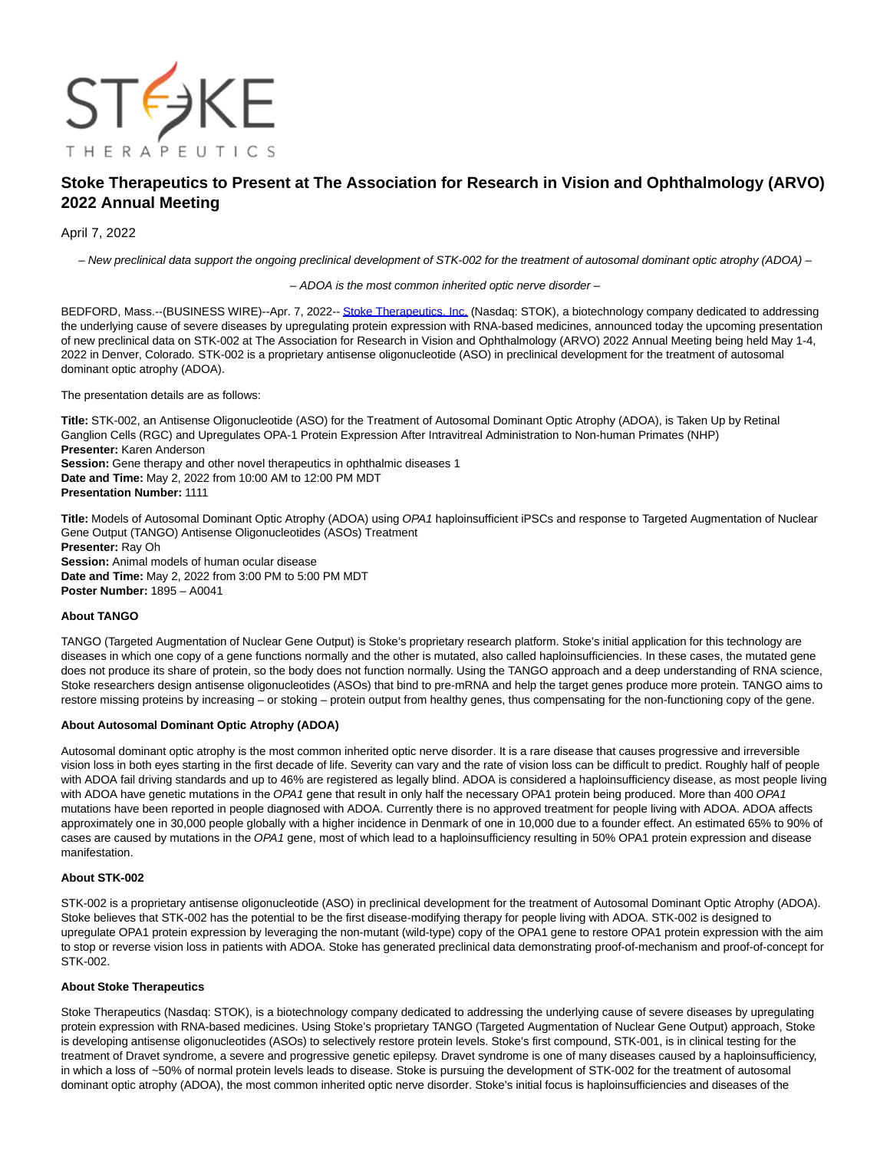

# **Stoke Therapeutics to Present at The Association for Research in Vision and Ophthalmology (ARVO) 2022 Annual Meeting**

# April 7, 2022

– New preclinical data support the ongoing preclinical development of STK-002 for the treatment of autosomal dominant optic atrophy (ADOA) –

#### – ADOA is the most common inherited optic nerve disorder –

BEDFORD, Mass.--(BUSINESS WIRE)--Apr. 7, 2022-[- Stoke Therapeutics, Inc. \(](https://cts.businesswire.com/ct/CT?id=smartlink&url=https%3A%2F%2Fwww.stoketherapeutics.com%2F&esheet=52661881&newsitemid=20220407005105&lan=en-US&anchor=Stoke+Therapeutics%2C+Inc.&index=1&md5=eb91eac318c6067fde6e36f535cc933b)Nasdaq: STOK), a biotechnology company dedicated to addressing the underlying cause of severe diseases by upregulating protein expression with RNA-based medicines, announced today the upcoming presentation of new preclinical data on STK-002 at The Association for Research in Vision and Ophthalmology (ARVO) 2022 Annual Meeting being held May 1-4, 2022 in Denver, Colorado. STK-002 is a proprietary antisense oligonucleotide (ASO) in preclinical development for the treatment of autosomal dominant optic atrophy (ADOA).

#### The presentation details are as follows:

**Title:** STK-002, an Antisense Oligonucleotide (ASO) for the Treatment of Autosomal Dominant Optic Atrophy (ADOA), is Taken Up by Retinal Ganglion Cells (RGC) and Upregulates OPA-1 Protein Expression After Intravitreal Administration to Non-human Primates (NHP) **Presenter:** Karen Anderson **Session:** Gene therapy and other novel therapeutics in ophthalmic diseases 1 **Date and Time:** May 2, 2022 from 10:00 AM to 12:00 PM MDT

**Presentation Number:** 1111

**Title:** Models of Autosomal Dominant Optic Atrophy (ADOA) using OPA1 haploinsufficient iPSCs and response to Targeted Augmentation of Nuclear Gene Output (TANGO) Antisense Oligonucleotides (ASOs) Treatment **Presenter:** Ray Oh **Session:** Animal models of human ocular disease

**Date and Time:** May 2, 2022 from 3:00 PM to 5:00 PM MDT **Poster Number:** 1895 – A0041

# **About TANGO**

TANGO (Targeted Augmentation of Nuclear Gene Output) is Stoke's proprietary research platform. Stoke's initial application for this technology are diseases in which one copy of a gene functions normally and the other is mutated, also called haploinsufficiencies. In these cases, the mutated gene does not produce its share of protein, so the body does not function normally. Using the TANGO approach and a deep understanding of RNA science, Stoke researchers design antisense oligonucleotides (ASOs) that bind to pre-mRNA and help the target genes produce more protein. TANGO aims to restore missing proteins by increasing – or stoking – protein output from healthy genes, thus compensating for the non-functioning copy of the gene.

## **About Autosomal Dominant Optic Atrophy (ADOA)**

Autosomal dominant optic atrophy is the most common inherited optic nerve disorder. It is a rare disease that causes progressive and irreversible vision loss in both eyes starting in the first decade of life. Severity can vary and the rate of vision loss can be difficult to predict. Roughly half of people with ADOA fail driving standards and up to 46% are registered as legally blind. ADOA is considered a haploinsufficiency disease, as most people living with ADOA have genetic mutations in the OPA1 gene that result in only half the necessary OPA1 protein being produced. More than 400 OPA1 mutations have been reported in people diagnosed with ADOA. Currently there is no approved treatment for people living with ADOA. ADOA affects approximately one in 30,000 people globally with a higher incidence in Denmark of one in 10,000 due to a founder effect. An estimated 65% to 90% of cases are caused by mutations in the OPA1 gene, most of which lead to a haploinsufficiency resulting in 50% OPA1 protein expression and disease manifestation.

# **About STK-002**

STK-002 is a proprietary antisense oligonucleotide (ASO) in preclinical development for the treatment of Autosomal Dominant Optic Atrophy (ADOA). Stoke believes that STK-002 has the potential to be the first disease-modifying therapy for people living with ADOA. STK-002 is designed to upregulate OPA1 protein expression by leveraging the non-mutant (wild-type) copy of the OPA1 gene to restore OPA1 protein expression with the aim to stop or reverse vision loss in patients with ADOA. Stoke has generated preclinical data demonstrating proof-of-mechanism and proof-of-concept for STK-002.

## **About Stoke Therapeutics**

Stoke Therapeutics (Nasdaq: STOK), is a biotechnology company dedicated to addressing the underlying cause of severe diseases by upregulating protein expression with RNA-based medicines. Using Stoke's proprietary TANGO (Targeted Augmentation of Nuclear Gene Output) approach, Stoke is developing antisense oligonucleotides (ASOs) to selectively restore protein levels. Stoke's first compound, STK-001, is in clinical testing for the treatment of Dravet syndrome, a severe and progressive genetic epilepsy. Dravet syndrome is one of many diseases caused by a haploinsufficiency, in which a loss of ~50% of normal protein levels leads to disease. Stoke is pursuing the development of STK-002 for the treatment of autosomal dominant optic atrophy (ADOA), the most common inherited optic nerve disorder. Stoke's initial focus is haploinsufficiencies and diseases of the